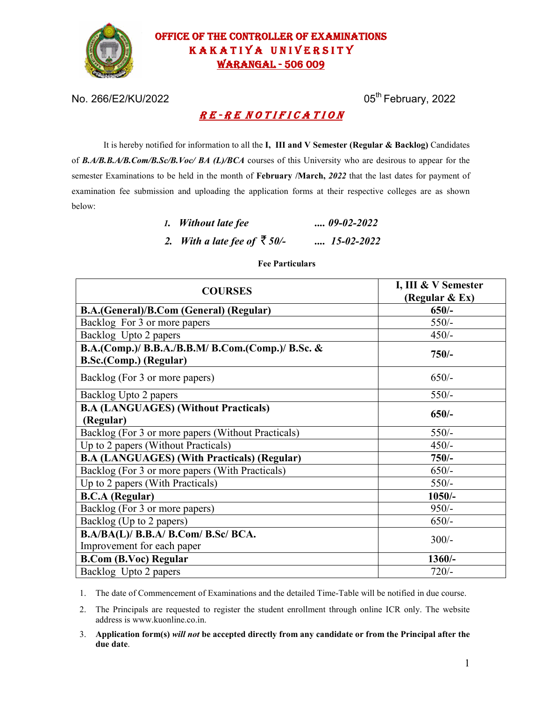

## OFFICE OF THE CONTROLLER OF EXAMINATIONS KAKATIYA UNIVERSITY WARANGAL - 506 009

No. 266/E2/KU/2022 05<sup>th</sup> February, 2022

# RE-RENOTIFICATION

It is hereby notified for information to all the **I, III and V Semester (Regular & Backlog)** Candidates of *B.A/B.B.A/B.Com/B.Sc/B.Voc/ BA (L)/BCA* courses of this University who are desirous to appear for the semester Examinations to be held in the month of **February /March,** *2022* that the last dates for payment of examination fee submission and uploading the application forms at their respective colleges are as shown below:

| 1. Without late fee                  | $\ldots$ 09-02-2022 |
|--------------------------------------|---------------------|
| 2. With a late fee of $\bar{z}$ 50/- | $\ldots$ 15-02-2022 |

### **Fee Particulars**

| <b>COURSES</b>                                                              | I, III & V Semester<br>(Regular & Ex) |  |
|-----------------------------------------------------------------------------|---------------------------------------|--|
| B.A.(General)/B.Com (General) (Regular)                                     | $650/-$                               |  |
| Backlog For 3 or more papers                                                | $550/-$                               |  |
| Backlog Upto 2 papers                                                       | $450/-$                               |  |
| B.A.(Comp.)/ B.B.A./B.B.M/ B.Com.(Comp.)/ B.Sc. &<br>B.Sc.(Comp.) (Regular) | $750/-$                               |  |
| Backlog (For 3 or more papers)                                              | $650/-$                               |  |
| Backlog Upto 2 papers                                                       | $550/-$                               |  |
| <b>B.A (LANGUAGES) (Without Practicals)</b><br>(Regular)                    | $650/-$                               |  |
| Backlog (For 3 or more papers (Without Practicals)                          | $550/-$                               |  |
| Up to 2 papers (Without Practicals)                                         | $450/-$                               |  |
| <b>B.A (LANGUAGES) (With Practicals) (Regular)</b>                          | $750/-$                               |  |
| Backlog (For 3 or more papers (With Practicals)                             | $650/-$                               |  |
| Up to 2 papers (With Practicals)                                            | $550/-$                               |  |
| <b>B.C.A</b> (Regular)                                                      | $1050/-$                              |  |
| Backlog (For 3 or more papers)                                              | $950/-$                               |  |
| Backlog (Up to 2 papers)                                                    | $650/-$                               |  |
| B.A/BA(L)/ B.B.A/ B.Com/ B.Sc/ BCA.<br>Improvement for each paper           | $300/-$                               |  |
| <b>B.Com (B.Voc) Regular</b>                                                | $1360/-$                              |  |
| Backlog Upto 2 papers                                                       | $720/-$                               |  |

1. The date of Commencement of Examinations and the detailed Time-Table will be notified in due course.

2. The Principals are requested to register the student enrollment through online ICR only. The website address is www.kuonline.co.in.

3. **Application form(s)** *will not* **be accepted directly from any candidate or from the Principal after the due date**.